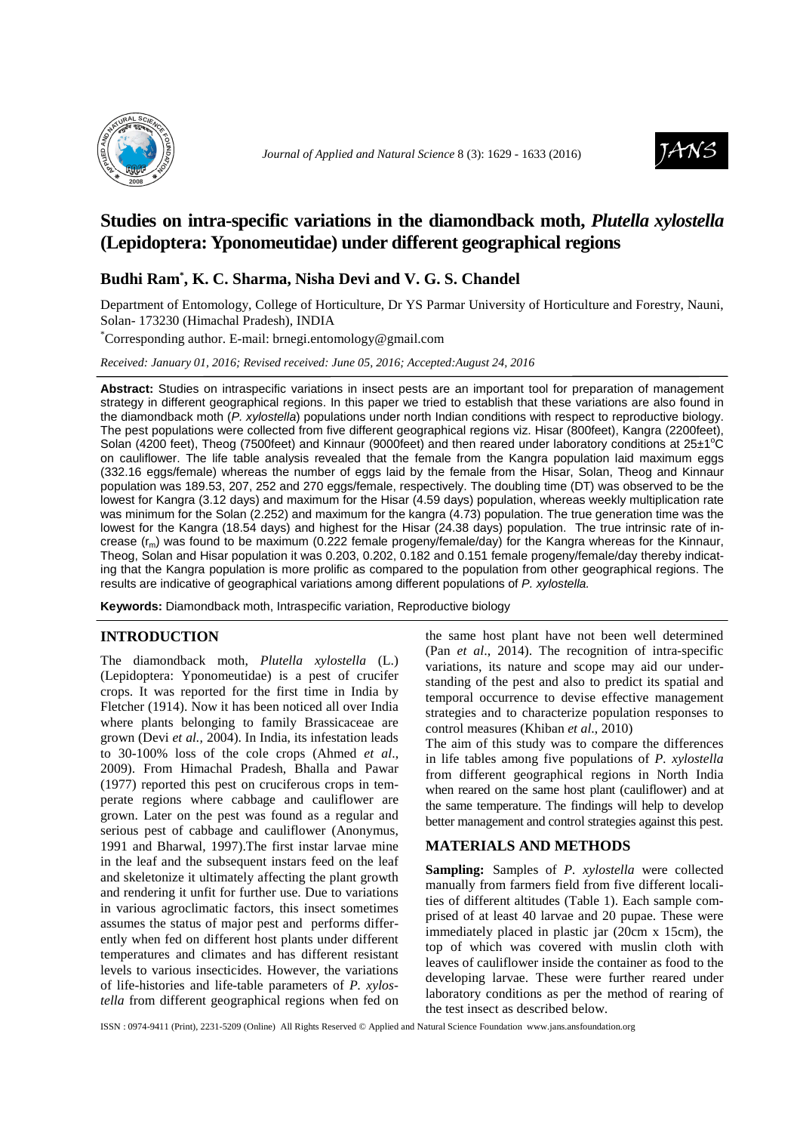



# **Studies on intra-specific variations in the diamondback moth,** *Plutella xylostella* **(Lepidoptera: Yponomeutidae) under different geographical regions**

## **Budhi Ram\* , K. C. Sharma, Nisha Devi and V. G. S. Chandel**

Department of Entomology, College of Horticulture, Dr YS Parmar University of Horticulture and Forestry, Nauni, Solan- 173230 (Himachal Pradesh), INDIA

\*Corresponding author. E-mail: brnegi.entomology@gmail.com

*Received: January 01, 2016; Revised received: June 05, 2016; Accepted:August 24, 2016*

**Abstract:** Studies on intraspecific variations in insect pests are an important tool for preparation of management strategy in different geographical regions. In this paper we tried to establish that these variations are also found in the diamondback moth (P. xylostella) populations under north Indian conditions with respect to reproductive biology. The pest populations were collected from five different geographical regions viz. Hisar (800feet), Kangra (2200feet), Solan (4200 feet), Theog (7500feet) and Kinnaur (9000feet) and then reared under laboratory conditions at  $25\pm1^{\circ}C$ on cauliflower. The life table analysis revealed that the female from the Kangra population laid maximum eggs (332.16 eggs/female) whereas the number of eggs laid by the female from the Hisar, Solan, Theog and Kinnaur population was 189.53, 207, 252 and 270 eggs/female, respectively. The doubling time (DT) was observed to be the lowest for Kangra (3.12 days) and maximum for the Hisar (4.59 days) population, whereas weekly multiplication rate was minimum for the Solan (2.252) and maximum for the kangra (4.73) population. The true generation time was the lowest for the Kangra (18.54 days) and highest for the Hisar (24.38 days) population. The true intrinsic rate of increase  $(r_m)$  was found to be maximum (0.222 female progeny/female/day) for the Kangra whereas for the Kinnaur, Theog, Solan and Hisar population it was 0.203, 0.202, 0.182 and 0.151 female progeny/female/day thereby indicating that the Kangra population is more prolific as compared to the population from other geographical regions. The results are indicative of geographical variations among different populations of P. xylostella.

**Keywords:** Diamondback moth, Intraspecific variation, Reproductive biology

#### **INTRODUCTION**

The diamondback moth, *Plutella xylostella* (L.) (Lepidoptera: Yponomeutidae) is a pest of crucifer crops. It was reported for the first time in India by Fletcher (1914). Now it has been noticed all over India where plants belonging to family Brassicaceae are grown (Devi *et al.,* 2004). In India, its infestation leads to 30-100% loss of the cole crops (Ahmed *et al*., 2009). From Himachal Pradesh, Bhalla and Pawar (1977) reported this pest on cruciferous crops in temperate regions where cabbage and cauliflower are grown. Later on the pest was found as a regular and serious pest of cabbage and cauliflower (Anonymus, 1991 and Bharwal, 1997).The first instar larvae mine in the leaf and the subsequent instars feed on the leaf and skeletonize it ultimately affecting the plant growth and rendering it unfit for further use. Due to variations in various agroclimatic factors, this insect sometimes assumes the status of major pest and performs differently when fed on different host plants under different temperatures and climates and has different resistant levels to various insecticides. However, the variations of life-histories and life-table parameters of *P. xylostella* from different geographical regions when fed on

the same host plant have not been well determined (Pan *et al*., 2014). The recognition of intra-specific variations, its nature and scope may aid our understanding of the pest and also to predict its spatial and temporal occurrence to devise effective management strategies and to characterize population responses to control measures (Khiban *et al*., 2010)

The aim of this study was to compare the differences in life tables among five populations of *P. xylostella* from different geographical regions in North India when reared on the same host plant (cauliflower) and at the same temperature. The findings will help to develop better management and control strategies against this pest.

#### **MATERIALS AND METHODS**

**Sampling:** Samples of *P. xylostella* were collected manually from farmers field from five different localities of different altitudes (Table 1). Each sample comprised of at least 40 larvae and 20 pupae. These were immediately placed in plastic jar (20cm x 15cm), the top of which was covered with muslin cloth with leaves of cauliflower inside the container as food to the developing larvae. These were further reared under laboratory conditions as per the method of rearing of the test insect as described below.

ISSN : 0974-9411 (Print), 2231-5209 (Online) All Rights Reserved © Applied and Natural Science Foundation www.jans.ansfoundation.org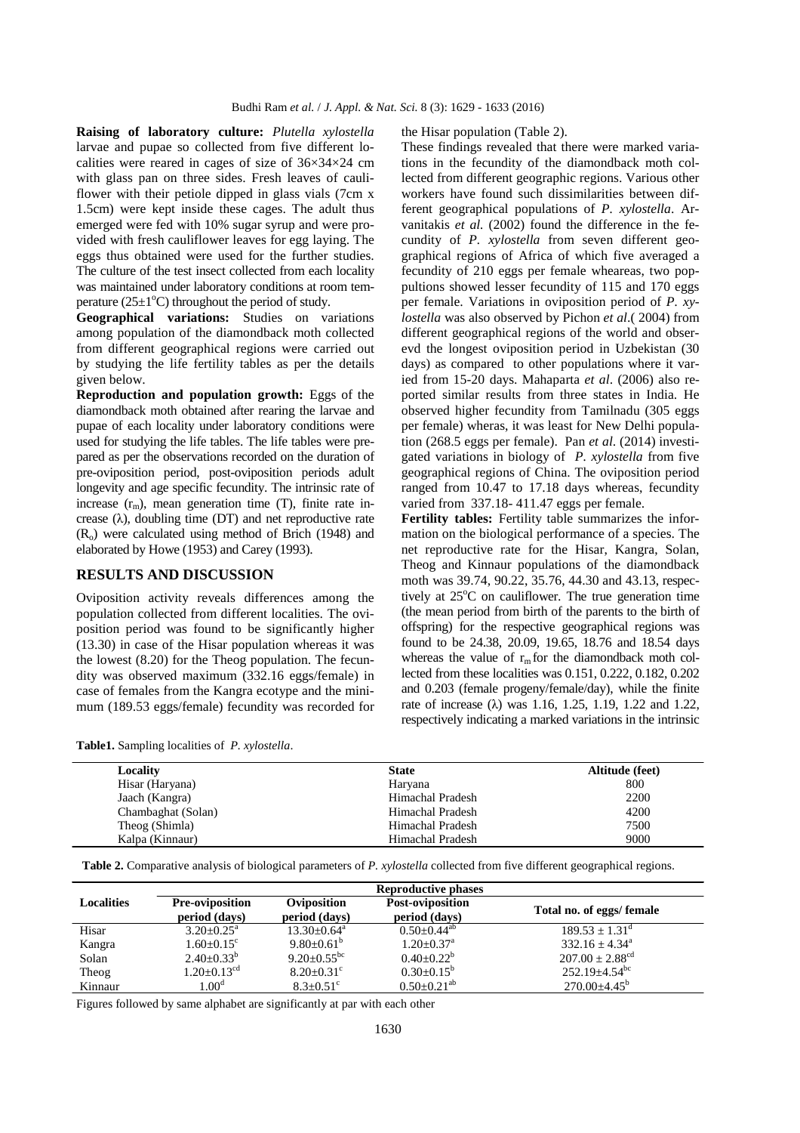**Raising of laboratory culture:** *Plutella xylostella* larvae and pupae so collected from five different localities were reared in cages of size of  $36\times34\times24$  cm with glass pan on three sides. Fresh leaves of cauliflower with their petiole dipped in glass vials (7cm x 1.5cm) were kept inside these cages. The adult thus emerged were fed with 10% sugar syrup and were provided with fresh cauliflower leaves for egg laying. The eggs thus obtained were used for the further studies. The culture of the test insect collected from each locality was maintained under laboratory conditions at room temperature ( $25\pm1\textdegree C$ ) throughout the period of study.

**Geographical variations:** Studies on variations among population of the diamondback moth collected from different geographical regions were carried out by studying the life fertility tables as per the details given below.

**Reproduction and population growth:** Eggs of the diamondback moth obtained after rearing the larvae and pupae of each locality under laboratory conditions were used for studying the life tables. The life tables were prepared as per the observations recorded on the duration of pre-oviposition period, post-oviposition periods adult longevity and age specific fecundity. The intrinsic rate of increase  $(r_m)$ , mean generation time (T), finite rate increase  $(\lambda)$ , doubling time (DT) and net reproductive rate (Ro) were calculated using method of Brich (1948) and elaborated by Howe (1953) and Carey (1993).

### **RESULTS AND DISCUSSION**

Oviposition activity reveals differences among the population collected from different localities. The oviposition period was found to be significantly higher (13.30) in case of the Hisar population whereas it was the lowest (8.20) for the Theog population. The fecundity was observed maximum (332.16 eggs/female) in case of females from the Kangra ecotype and the minimum (189.53 eggs/female) fecundity was recorded for the Hisar population (Table 2).

These findings revealed that there were marked variations in the fecundity of the diamondback moth collected from different geographic regions. Various other workers have found such dissimilarities between different geographical populations of *P. xylostella*. Arvanitakis *et al.* (2002) found the difference in the fecundity of *P. xylostella* from seven different geographical regions of Africa of which five averaged a fecundity of 210 eggs per female wheareas, two poppultions showed lesser fecundity of 115 and 170 eggs per female. Variations in oviposition period of *P. xylostella* was also observed by Pichon *et al*.( 2004) from different geographical regions of the world and obserevd the longest oviposition period in Uzbekistan (30 days) as compared to other populations where it varied from 15-20 days. Mahaparta *et al*. (2006) also reported similar results from three states in India. He observed higher fecundity from Tamilnadu (305 eggs per female) wheras, it was least for New Delhi population (268.5 eggs per female). Pan *et al*. (2014) investigated variations in biology of *P. xylostella* from five geographical regions of China. The oviposition period ranged from 10.47 to 17.18 days whereas, fecundity varied from 337.18- 411.47 eggs per female.

**Fertility tables:** Fertility table summarizes the information on the biological performance of a species. The net reproductive rate for the Hisar, Kangra, Solan, Theog and Kinnaur populations of the diamondback moth was 39.74, 90.22, 35.76, 44.30 and 43.13, respectively at  $25^{\circ}$ C on cauliflower. The true generation time (the mean period from birth of the parents to the birth of offspring) for the respective geographical regions was found to be 24.38, 20.09, 19.65, 18.76 and 18.54 days whereas the value of  $r_m$  for the diamondback moth collected from these localities was 0.151, 0.222, 0.182, 0.202 and 0.203 (female progeny/female/day), while the finite rate of increase (λ) was 1.16, 1.25, 1.19, 1.22 and 1.22, respectively indicating a marked variations in the intrinsic

|  |  |  |  | Table1. Sampling localities of P. xylostella. |
|--|--|--|--|-----------------------------------------------|
|--|--|--|--|-----------------------------------------------|

| 800<br>Hisar (Haryana)<br>Haryana<br>2200<br>Himachal Pradesh<br>Jaach (Kangra) | Altitude (feet) |  |  |
|---------------------------------------------------------------------------------|-----------------|--|--|
|                                                                                 |                 |  |  |
|                                                                                 |                 |  |  |
| 4200<br>Himachal Pradesh<br>Chambaghat (Solan)                                  |                 |  |  |
| 7500<br>Theog (Shimla)<br>Himachal Pradesh                                      |                 |  |  |
| 9000<br>Himachal Pradesh<br>Kalpa (Kinnaur)                                     |                 |  |  |

**Table 2.** Comparative analysis of biological parameters of *P. xylostella* collected from five different geographical regions.

| <b>Localities</b> | <b>Pre-oviposition</b>      | Oviposition                  | Post-oviposition           | Total no. of eggs/ female       |
|-------------------|-----------------------------|------------------------------|----------------------------|---------------------------------|
|                   | period (days)               | period (days)                | period (days)              |                                 |
| Hisar             | $3.20+0.25^{\circ}$         | $13.30 \pm 0.64^{\text{a}}$  | $0.50+0.44^{ab}$           | $189.53 + 1.31^{\circ}$         |
| Kangra            | $1.60+0.15^{\circ}$         | 9.80 $\pm$ 0.61 <sup>b</sup> | $1.20 + 0.37$ <sup>a</sup> | $332.16 + 4.34^a$               |
| Solan             | $2.40\pm0.33^{b}$           | $9.20+0.55^{bc}$             | $0.40 \pm 0.22^b$          | $207.00 \pm 2.88$ <sup>cd</sup> |
| Theog             | $1.20 + 0.13$ <sup>cd</sup> | $8.20+0.31^{\circ}$          | $0.30 \pm 0.15^b$          | $252.19 \pm 4.54$ <sup>bc</sup> |
| Kinnaur           | 1.00 <sup>d</sup>           | $8.3 \pm 0.51$ <sup>c</sup>  | $0.50+0.21^{ab}$           | $270.00 + 4.45^b$               |

Figures followed by same alphabet are significantly at par with each other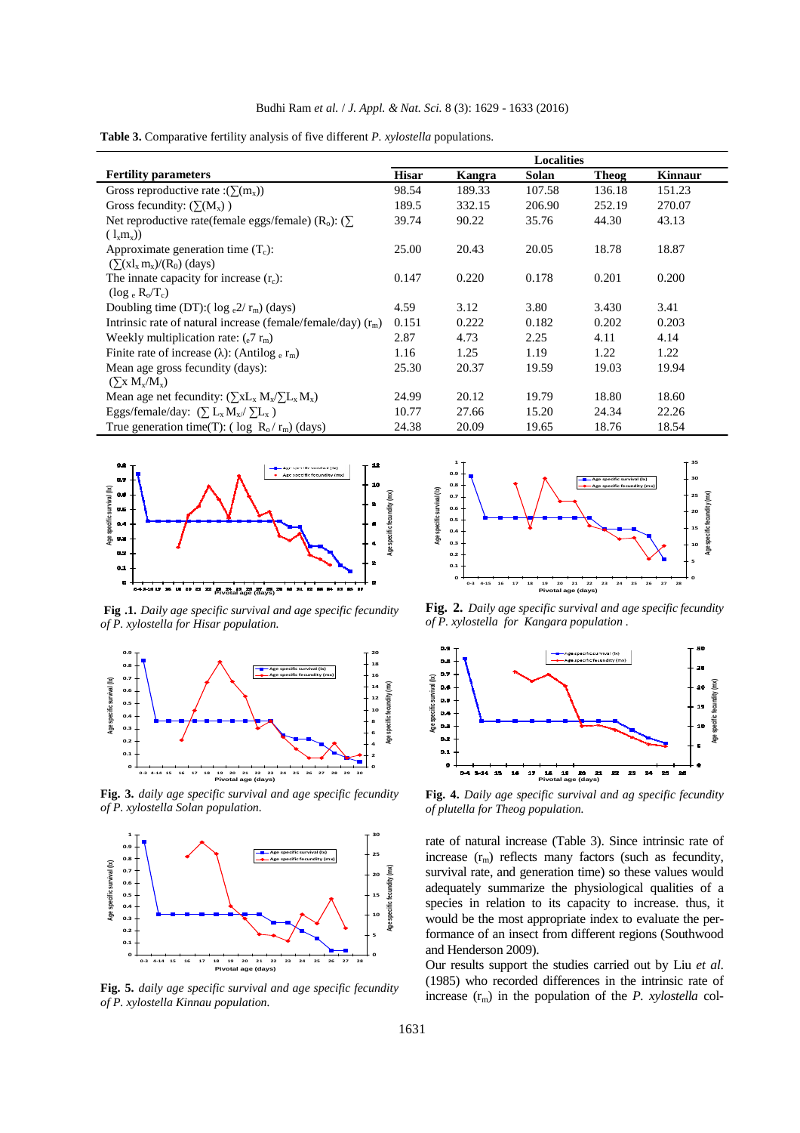**Table 3.** Comparative fertility analysis of five different *P. xylostella* populations.

|                                                                             | <b>Localities</b> |        |              |        |         |
|-----------------------------------------------------------------------------|-------------------|--------|--------------|--------|---------|
| <b>Fertility parameters</b>                                                 | <b>Hisar</b>      | Kangra | <b>Solan</b> | Theog  | Kinnaur |
| Gross reproductive rate : $(\Sigma(m_x))$                                   | 98.54             | 189.33 | 107.58       | 136.18 | 151.23  |
| Gross fecundity: $(\Sigma(M_x))$                                            | 189.5             | 332.15 | 206.90       | 252.19 | 270.07  |
| Net reproductive rate(female eggs/female) ( $R_o$ ): ( $\sum$               | 39.74             | 90.22  | 35.76        | 44.30  | 43.13   |
| $(l_x m_x)$                                                                 |                   |        |              |        |         |
| Approximate generation time $(T_c)$ :                                       | 25.00             | 20.43  | 20.05        | 18.78  | 18.87   |
| $(\sum (x l_x m_x)/(R_0)$ (days)                                            |                   |        |              |        |         |
| The innate capacity for increase $(r_c)$ :                                  | 0.147             | 0.220  | 0.178        | 0.201  | 0.200   |
| $(\log_e R_o/T_c)$                                                          |                   |        |              |        |         |
| Doubling time (DT):( $\log_{e} 2/r_{\rm m}$ ) (days)                        | 4.59              | 3.12   | 3.80         | 3.430  | 3.41    |
| Intrinsic rate of natural increase (female/female/day) $(r_m)$              | 0.151             | 0.222  | 0.182        | 0.202  | 0.203   |
| Weekly multiplication rate: $(_{e}7 r_{m})$                                 | 2.87              | 4.73   | 2.25         | 4.11   | 4.14    |
| Finite rate of increase ( $\lambda$ ): (Antilog $_{\rm e}$ r <sub>m</sub> ) | 1.16              | 1.25   | 1.19         | 1.22   | 1.22    |
| Mean age gross fecundity (days):                                            | 25.30             | 20.37  | 19.59        | 19.03  | 19.94   |
| $(\sum_{x} M_{x}/M_{x})$                                                    |                   |        |              |        |         |
| Mean age net fecundity: $(\sum xL_x M_x / \sum L_x M_x)$                    | 24.99             | 20.12  | 19.79        | 18.80  | 18.60   |
| Eggs/female/day: $(\sum L_x M_x / \sum L_x)$                                | 10.77             | 27.66  | 15.20        | 24.34  | 22.26   |
| True generation time(T): ( $\log R_o/r_m$ ) (days)                          | 24.38             | 20.09  | 19.65        | 18.76  | 18.54   |



**Fig .1.** *Daily age specific survival and age specific fecundity of P. xylostella for Hisar population.* 



**Fig. 3.** *daily age specific survival and age specific fecundity of P. xylostella Solan population.* 



**Fig. 5.** *daily age specific survival and age specific fecundity of P. xylostella Kinnau population.* 



**Fig. 2.** *Daily age specific survival and age specific fecundity of P. xylostella for Kangara population .* 



**Fig. 4.** *Daily age specific survival and ag specific fecundity of plutella for Theog population.*

rate of natural increase (Table 3). Since intrinsic rate of increase  $(r_m)$  reflects many factors (such as fecundity, survival rate, and generation time) so these values would adequately summarize the physiological qualities of a species in relation to its capacity to increase. thus, it would be the most appropriate index to evaluate the performance of an insect from different regions (Southwood and Henderson 2009).

Our results support the studies carried out by Liu *et al*. (1985) who recorded differences in the intrinsic rate of increase  $(r_m)$  in the population of the *P. xylostella* col-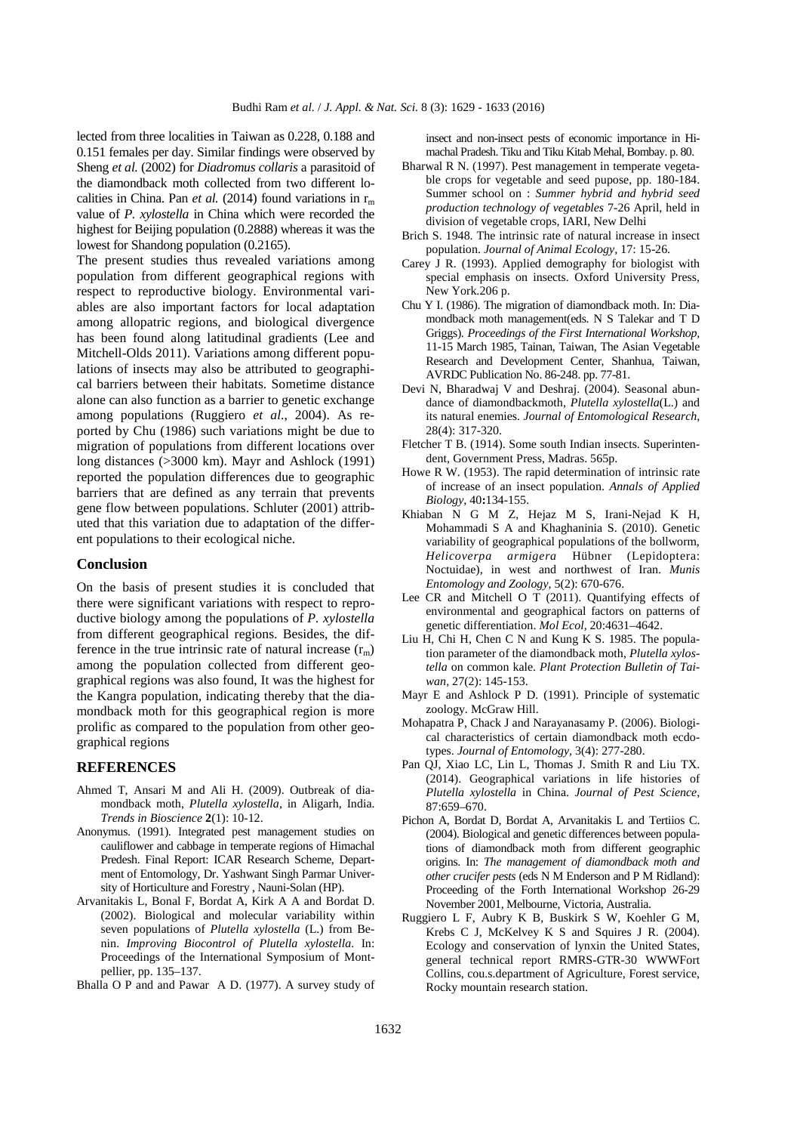lected from three localities in Taiwan as 0.228, 0.188 and 0.151 females per day. Similar findings were observed by Sheng *et al.* (2002) for *Diadromus collaris* a parasitoid of the diamondback moth collected from two different localities in China. Pan *et al.* (2014) found variations in  $r_m$ value of *P. xylostella* in China which were recorded the highest for Beijing population (0.2888) whereas it was the lowest for Shandong population (0.2165).

The present studies thus revealed variations among population from different geographical regions with respect to reproductive biology. Environmental variables are also important factors for local adaptation among allopatric regions, and biological divergence has been found along latitudinal gradients (Lee and Mitchell-Olds 2011). Variations among different populations of insects may also be attributed to geographical barriers between their habitats. Sometime distance alone can also function as a barrier to genetic exchange among populations (Ruggiero *et al*., 2004). As reported by Chu (1986) such variations might be due to migration of populations from different locations over long distances (>3000 km). Mayr and Ashlock (1991) reported the population differences due to geographic barriers that are defined as any terrain that prevents gene flow between populations. Schluter (2001) attributed that this variation due to adaptation of the different populations to their ecological niche.

#### **Conclusion**

On the basis of present studies it is concluded that there were significant variations with respect to reproductive biology among the populations of *P. xylostella* from different geographical regions. Besides, the difference in the true intrinsic rate of natural increase  $(r<sub>m</sub>)$ among the population collected from different geographical regions was also found, It was the highest for the Kangra population, indicating thereby that the diamondback moth for this geographical region is more prolific as compared to the population from other geographical regions

#### **REFERENCES**

- Ahmed T, Ansari M and Ali H. (2009). Outbreak of diamondback moth, *Plutella xylostella*, in Aligarh, India. *Trends in Bioscience* **2**(1): 10-12.
- Anonymus. (1991). Integrated pest management studies on cauliflower and cabbage in temperate regions of Himachal Predesh. Final Report: ICAR Research Scheme, Department of Entomology, Dr. Yashwant Singh Parmar University of Horticulture and Forestry , Nauni-Solan (HP).
- Arvanitakis L, Bonal F, Bordat A, Kirk A A and Bordat D. (2002). Biological and molecular variability within seven populations of *Plutella xylostella* (L.) from Benin. *Improving Biocontrol of Plutella xylostella*. In: Proceedings of the International Symposium of Montpellier, pp. 135–137.
- Bhalla O P and and Pawar A D. (1977). A survey study of

insect and non-insect pests of economic importance in Himachal Pradesh. Tiku and Tiku Kitab Mehal, Bombay. p. 80.

- Bharwal R N. (1997). Pest management in temperate vegetable crops for vegetable and seed pupose, pp. 180-184. Summer school on : *Summer hybrid and hybrid seed production technology of vegetables* 7-26 April, held in division of vegetable crops, IARI, New Delhi
- Brich S. 1948. The intrinsic rate of natural increase in insect population. *Journal of Animal Ecology,* 17: 15-26.
- Carey J R. (1993). Applied demography for biologist with special emphasis on insects. Oxford University Press, New York.206 p.
- Chu Y I. (1986). The migration of diamondback moth. In: Diamondback moth management(eds. N S Talekar and T D Griggs). *Proceedings of the First International Workshop,* 11-15 March 1985, Tainan, Taiwan, The Asian Vegetable Research and Development Center, Shanhua, Taiwan, AVRDC Publication No. 86-248. pp. 77-81.
- Devi N, Bharadwaj V and Deshraj. (2004). Seasonal abundance of diamondbackmoth, *Plutella xylostella*(L.) and its natural enemies. *Journal of Entomological Research,*  28(4): 317-320.
- Fletcher T B. (1914). Some south Indian insects. Superintendent, Government Press, Madras. 565p.
- Howe R W. (1953). The rapid determination of intrinsic rate of increase of an insect population. *Annals of Applied Biology,* 40**:**134-155.
- Khiaban N G M Z, Hejaz M S, Irani-Nejad K H, Mohammadi S A and Khaghaninia S. (2010). Genetic variability of geographical populations of the bollworm, *Helicoverpa armigera* Hübner (Lepidoptera: Noctuidae), in west and northwest of Iran. *Munis Entomology and Zoology,* 5(2): 670-676.
- Lee CR and Mitchell O T (2011). Quantifying effects of environmental and geographical factors on patterns of genetic differentiation. *Mol Ecol,* 20:4631–4642.
- Liu H, Chi H, Chen C N and Kung K S. 1985. The population parameter of the diamondback moth, *Plutella xylostella* on common kale. *Plant Protection Bulletin of Taiwan,* 27(2): 145-153.
- Mayr E and Ashlock P D. (1991). Principle of systematic zoology. McGraw Hill.
- Mohapatra P, Chack J and Narayanasamy P. (2006). Biological characteristics of certain diamondback moth ecdotypes. *Journal of Entomology,* 3(4): 277-280.
- Pan QJ, Xiao LC, Lin L, Thomas J. Smith R and Liu TX. (2014). Geographical variations in life histories of *Plutella xylostella* in China. *Journal of Pest Science*, 87:659–670.
- Pichon A, Bordat D, Bordat A, Arvanitakis L and Tertiios C. (2004). Biological and genetic differences between populations of diamondback moth from different geographic origins. In: *The management of diamondback moth and other crucifer pests* (eds N M Enderson and P M Ridland): Proceeding of the Forth International Workshop 26-29 November 2001, Melbourne, Victoria, Australia.
- Ruggiero L F, Aubry K B, Buskirk S W, Koehler G M, Krebs C J, McKelvey K S and Squires J R. (2004). Ecology and conservation of lynxin the United States, general technical report RMRS-GTR-30 WWWFort Collins, cou.s.department of Agriculture, Forest service, Rocky mountain research station.